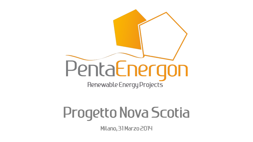

# Progetto Nova Scotia

Milano, 31 Marzo 2014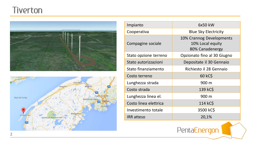## **Tiverton**





| Impianto              | 6x50 kW                                                         |
|-----------------------|-----------------------------------------------------------------|
| Cooperativa           | <b>Blue Sky Electricity</b>                                     |
| Compagine sociale     | 10% Crannog Developments<br>10% Local equity<br>80% Canadenergy |
| Stato opzione terreno | Opzionato fino al 30 Giugno                                     |
| Stato autorizzazioni  | Depositate il 30 Gennaio                                        |
| Stato finanziamento   | Richiesto il 28 Gennaio                                         |
| Costo terreno         | 60 kC\$                                                         |
| Lunghezza strada      | 900 m                                                           |
| Costo strada          | 139 kC\$                                                        |
| Lunghezza linea el.   | 900 m                                                           |
| Costo linea elettrica | 114 kC\$                                                        |
| Investimento totale   | 3500 kC\$                                                       |
| <b>IRR</b> atteso     | 20,1%                                                           |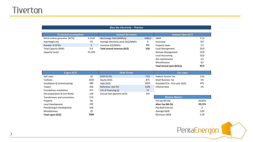#### *Blue Sky Electricity - Tiverton*

| <b>Technical assumptions</b> |          | <b>Annual Revenues</b>               |        | <b>Annual Opex kCS</b>     |      |
|------------------------------|----------|--------------------------------------|--------|----------------------------|------|
| Wind turbine generator (WTG) | $E-3120$ | Net Energy Yield (MWh/y)             | 1080,0 | 0&M                        | 27,0 |
| Hub Height (m)               | 42       | Average electricity price (kC\$/MWh) | 0      | Insurance                  | 9,0  |
| Number of WTGs               | 6        | Incentive (C\$/MWh)                  | 499    | Property taxes             | 1,5  |
| Total Capacity (MW)          | 0,3      | Total annual revenues (kC\$)         | 539    | Local Management           | 20,0 |
| Capacity Factor              | 41.10%   |                                      |        | <b>Remote Management</b>   | 10,0 |
|                              |          |                                      |        | Local Accounting           | 10,0 |
|                              |          |                                      |        | Site maintenance           | 1,5  |
|                              |          |                                      |        | Miscellaneous              | 4,5  |
|                              |          |                                      |        | Total annual opex (kC\$/y) | 83,5 |

| Capex kCS                      |      | <b>Debt Terms</b>          |      | Tax rates                         |        |
|--------------------------------|------|----------------------------|------|-----------------------------------|--------|
| Soft costs                     | 10   | $D/(D+E)$ (%)              | 75%  | Federal Income Tax                | 11%    |
| Turbines                       | 1650 | Equity (kC\$)              | 875  | <b>Small Business Tax</b>         | 3%     |
| Installation & Commissioning   | 480  | Debt (kC\$)                | 2625 | Available CCA - First year (kC\$) | 875    |
| <b>Towers</b>                  | 446  | Reference rate (%)         | 6,0% | <b>Inflation Rate</b>             | 2%     |
| Foundations installation       | 372  | Life of financing $(y)$    | 15   |                                   |        |
| Site preparation & Civil Works | 139  | Annual loan payment (kC\$) | 270  |                                   |        |
| Transformers and connections   | 114  |                            |      | <b>Return Metrics</b>             |        |
| Property                       | 60   |                            |      | Pre-tax IRR (%)                   | 20,95% |
| Local Development              | 100  |                            |      | After-Tax IRR (%)                 | 20,11% |
| PentaEnergon Development       | 100  |                            |      | Pay-Back time (y)                 | 4      |
| Miscellaneous                  | 29   |                            |      | Average DSCR                      | 1,64   |
| Total capex (kC\$)             | 3500 |                            |      | Minimum DSCR                      | 1,59   |

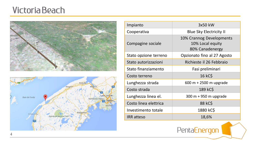### Victoria Beach





| Impianto              | 3x50 kW                                                         |
|-----------------------|-----------------------------------------------------------------|
| Cooperativa           | <b>Blue Sky Electricity II</b>                                  |
| Compagine sociale     | 10% Crannog Developments<br>10% Local equity<br>80% Canadenergy |
| Stato opzione terreno | Opzionato fino al 27 Agosto                                     |
| Stato autorizzazioni  | Richieste il 26 Febbraio                                        |
| Stato finanziamento   | Fasi preliminari                                                |
| Costo terreno         | <b>16 kCS</b>                                                   |
| Lunghezza strada      | 600 m + 2500 m upgrade                                          |
| Costo strada          | 189 kC\$                                                        |
| Lunghezza linea el.   | $300 m + 950 m$ upgrade                                         |
| Costo linea elettrica | 88 kC\$                                                         |
| Investimento totale   | 1880 kC\$                                                       |
| <b>IRR</b> atteso     | 18,6%                                                           |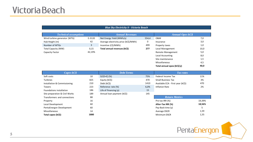#### *Blue Sky Electricity II - Victoria Beach*

| <b>Technical assumptions</b> |        | <b>Annual Revenues</b>               |       | <b>Annual Opex kC\$</b>  |      |
|------------------------------|--------|--------------------------------------|-------|--------------------------|------|
| Wind turbine generator (WTG) | E-3120 | Net Energy Yield (MWh/y)             | 554,4 | 0&M                      | 7,0  |
| Hub Height (m)               | 42     | Average electricity price (kC\$/MWh) | 0     | Insurance                | 3,0  |
| Number of WTGs               | 3      | Incentive (C\$/MWh)                  | 499   | Property taxes           | 1,0  |
| <b>Total Capacity (MW)</b>   | 0,15   | Total annual revenues (kC\$)         | 277   | Local Management         | 10,0 |
| Capacity Factor              | 42,19% |                                      |       | <b>Remote Management</b> | 5,0  |
|                              |        |                                      |       | Local Accounting         | 8,0  |
|                              |        |                                      |       | Site maintenance         | 1,5  |
|                              |        |                                      |       | Miscellaneous            | 4,5  |

| Total annual opex (kC\$/y) | 40,0 |
|----------------------------|------|
|                            |      |

| Capex kCS                      |      | <b>Debt Terms</b>          |      | Tax rates                         |        |
|--------------------------------|------|----------------------------|------|-----------------------------------|--------|
| Soft costs                     | 10   | $D/(D+E)$ (%)              | 75%  | Federal Income Tax                | 11%    |
| Turbines                       | 825  | Equity (kC\$)              | 470  | <b>Small Business Tax</b>         | 3%     |
| Installation & Commissioning   | 210  | Debt (kC\$)                | 1410 | Available CCA - First year (kC\$) | 470    |
| Towers                         | 223  | Reference rate (%)         | 6,0% | Inflation Rate                    | 2%     |
| Foundations installation       | 186  | Life of financing $(y)$    | 15   |                                   |        |
| Site preparation & Civil Works | 189  | Annual loan payment (kC\$) | 145  |                                   |        |
| Transformers and connections   | 88   |                            |      | <b>Return Metrics</b>             |        |
| Property                       | 16   |                            |      | Pre-tax IRR (%)                   | 19,39% |
| Local Development              | 60   |                            |      | After-Tax IRR (%)                 | 18,56% |
| PentaEnergon Development       | 60   |                            |      | Pay-Back time (y)                 | 5      |
| Miscellaneous                  | 14   |                            |      | Average DSCR                      | 1,59   |
| Total capex (kC\$)             | 1880 |                            |      | Minimum DSCR                      | 1,55   |

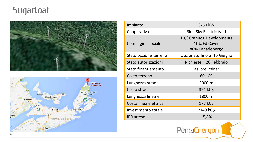# **Sugarloaf**





| Impianto              | 3x50 kW                                                     |
|-----------------------|-------------------------------------------------------------|
| Cooperativa           | <b>Blue Sky Electricity III</b>                             |
| Compagine sociale     | 10% Crannog Developments<br>10% Ed Cayer<br>80% Canadenergy |
| Stato opzione terreno | Opzionato fino al 15 Giugno                                 |
| Stato autorizzazioni  | Richieste il 26 Febbraio                                    |
| Stato finanziamento   | Fasi preliminari                                            |
| Costo terreno         | 60 kC\$                                                     |
| Lunghezza strada      | 3000 m                                                      |
| Costo strada          | 324 kC\$                                                    |
| Lunghezza linea el.   | 1800 m                                                      |
| Costo linea elettrica | 177 kC\$                                                    |
| Investimento totale   | 2149 kC\$                                                   |
| <b>IRR</b> atteso     | 15,8%                                                       |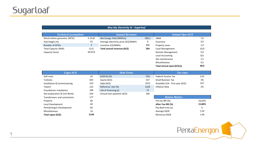### *Blue Sky Electricity III - Sugarloaf*

| <b>Technical assumptions</b> |        | <b>Annual Revenues</b>               |       | Annual Opex $kCS$        |      |
|------------------------------|--------|--------------------------------------|-------|--------------------------|------|
| Wind turbine generator (WTG) | E-3120 | Net Energy Yield (MWh/y)             | 590,1 | 0&M                      | 7,0  |
| Hub Height (m)               | 42     | Average electricity price (kC\$/MWh) | 0     | Insurance                | 3,0  |
| Number of WTGs               | 3      | Incentive (C\$/MWh)                  | 499   | Property taxes           | 1,0  |
| Total Capacity (MW)          | 0,15   | Total annual revenues (kC\$)         | 294   | Local Management         | 10,0 |
| Capacity Factor              | 44,91% |                                      |       | <b>Remote Management</b> | 5,0  |
|                              |        |                                      |       | Local Accounting         | 8,0  |
|                              |        |                                      |       | Site maintenance         | 1,5  |
|                              |        |                                      |       | Miscellaneous            | 4,5  |

| Total annual opex (kC\$/y) | 40,0 |
|----------------------------|------|
|                            |      |

| Capex kCS                      |      | <b>Debt Terms</b>          |      | Tax rates                         |        |
|--------------------------------|------|----------------------------|------|-----------------------------------|--------|
| Soft costs                     | 10   | $D/(D+E)$ (%)              | 75%  | Federal Income Tax                | 11%    |
| Turbines                       | 825  | Equity (kC\$)              | 537  | <b>Small Business Tax</b>         | 3%     |
| Installation & Commissioning   | 210  | Debt (kC\$)                | 1612 | Available CCA - First year (kC\$) | 537    |
| Towers                         | 223  | Reference rate (%)         | 6,0% | Inflation Rate                    | 2%     |
| Foundations installation       | 186  | Life of financing $(y)$    | 15   |                                   |        |
| Site preparation & Civil Works | 324  | Annual loan payment (kC\$) | 166  |                                   |        |
| Transformers and connections   | 177  |                            |      | <b>Return Metrics</b>             |        |
| Property                       | 60   |                            |      | Pre-tax IRR (%)                   | 16,62% |
| Local Development              | 60   |                            |      | After-Tax IRR (%)                 | 15,80% |
| PentaEnergon Development       | 60   |                            |      | Pay-Back time (y)                 | 6      |
| Miscellaneous                  | 14   |                            |      | Average DSCR                      | 1,50   |
| Total capex (kC\$)             | 2149 |                            |      | Minimum DSCR                      | 1,46   |

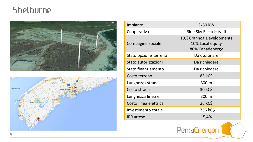## Shelburne





| Impianto              | 3x50 kW                                                         |
|-----------------------|-----------------------------------------------------------------|
| Cooperativa           | <b>Blue Sky Electricity III</b>                                 |
| Compagine sociale     | 10% Crannog Developments<br>10% Local equity<br>80% Canadenergy |
| Stato opzione terreno | Da opzionare                                                    |
| Stato autorizzazioni  | Da richiedere                                                   |
| Stato finanziamento   | Da richiedere                                                   |
| Costo terreno         | 85 kC\$                                                         |
| Lunghezza strada      | 300 m                                                           |
| Costo strada          | 30 kC\$                                                         |
| Lunghezza linea el.   | 300 m                                                           |
| Costo linea elettrica | 26 kC\$                                                         |
| Investimento totale   | 1756 kC\$                                                       |
| <b>IRR</b> atteso     | 15,4%                                                           |